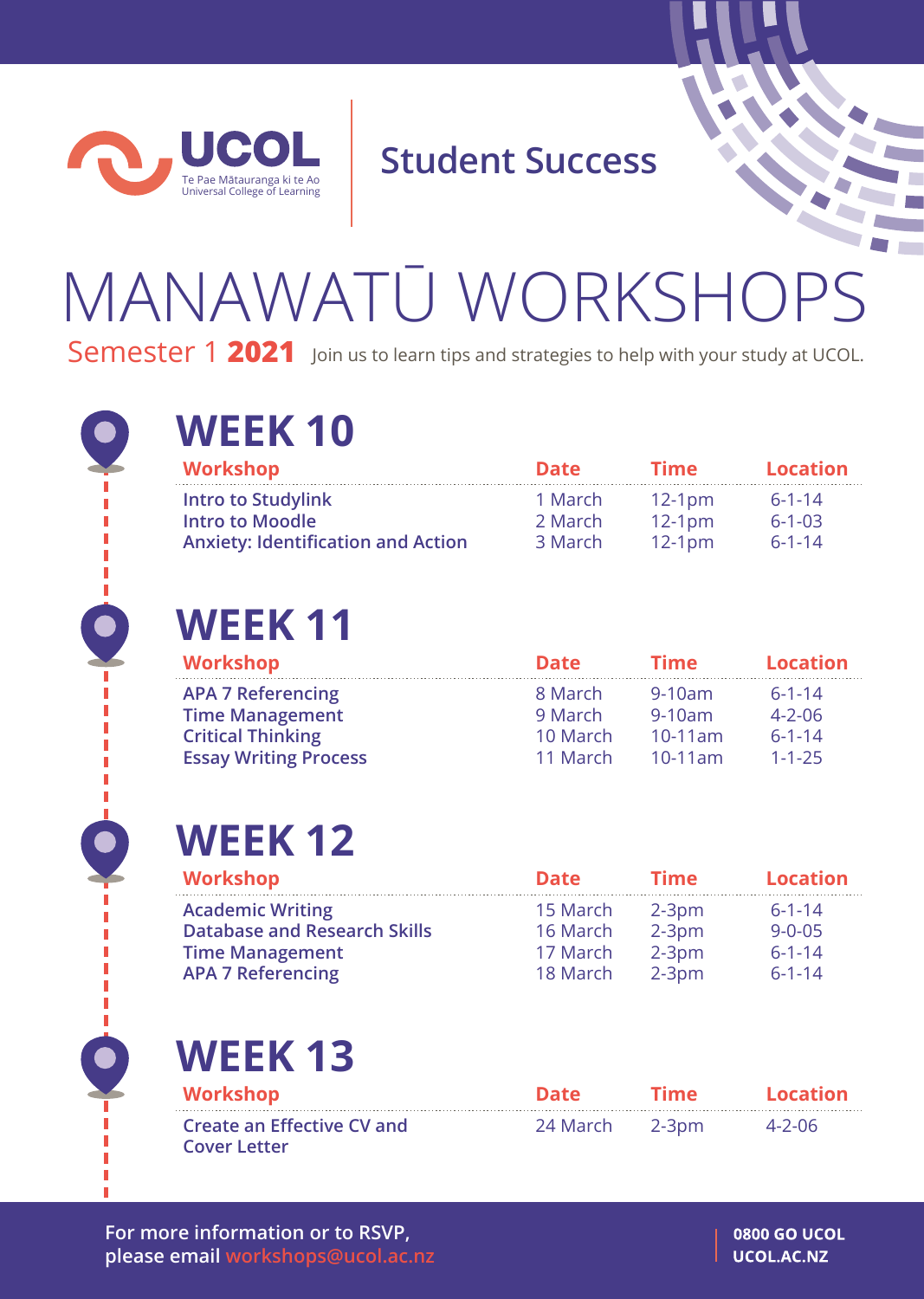

**Student Success**

# MANAWATŪ WORKSHOPS Semester 1 2021 Join us to learn tips and strategies to help with your study at UCOL.



### **WEEK 10**

| Workshop                                  | <b>Date</b> | <b>Time</b> | Location     |
|-------------------------------------------|-------------|-------------|--------------|
| <b>Intro to Studylink</b>                 | 1 March     | $12-1pm$    | $6 - 1 - 14$ |
| <b>Intro to Moodle</b>                    | 2 March     | $12-1pm$    | $6 - 1 - 03$ |
| <b>Anxiety: Identification and Action</b> | 3 March     | $12-1pm$    | $6 - 1 - 14$ |

## **WEEK 11**

| Workshop                     | <b>Date</b> | <b>Time</b> | <b>Location</b> |
|------------------------------|-------------|-------------|-----------------|
| <b>APA 7 Referencing</b>     | 8 March     | $9-10am$    | $6 - 1 - 14$    |
| <b>Time Management</b>       | 9 March     | $9-10am$    | $4 - 2 - 06$    |
| <b>Critical Thinking</b>     | 10 March    | $10-11$ am  | $6 - 1 - 14$    |
| <b>Essay Writing Process</b> | 11 March    | $10-11$ am  | $1 - 1 - 25$    |

### **WEEK 12**

#### **APA 7 Referencing**

| <b>Date</b> | <b>Time</b> | <b>Location</b> |
|-------------|-------------|-----------------|
| 15 March    | $2-3$ pm    | $6 - 1 - 14$    |
| 16 March    | $2-3pm$     | $9 - 0 - 05$    |
| 17 March    | $2-3$ pm    | $6 - 1 - 14$    |
|             |             |                 |

18 March 2-3pm 6-1-14

**WEEK 13**

**Create an Effective CV and Cover Letter**

24 March 2-3pm 4-2-06 **Workshop Date Time Location**

**For more information or to RSVP, please email workshops@ucol.ac.nz**

**0800 GO UCOL** UCOL.AC.NZ